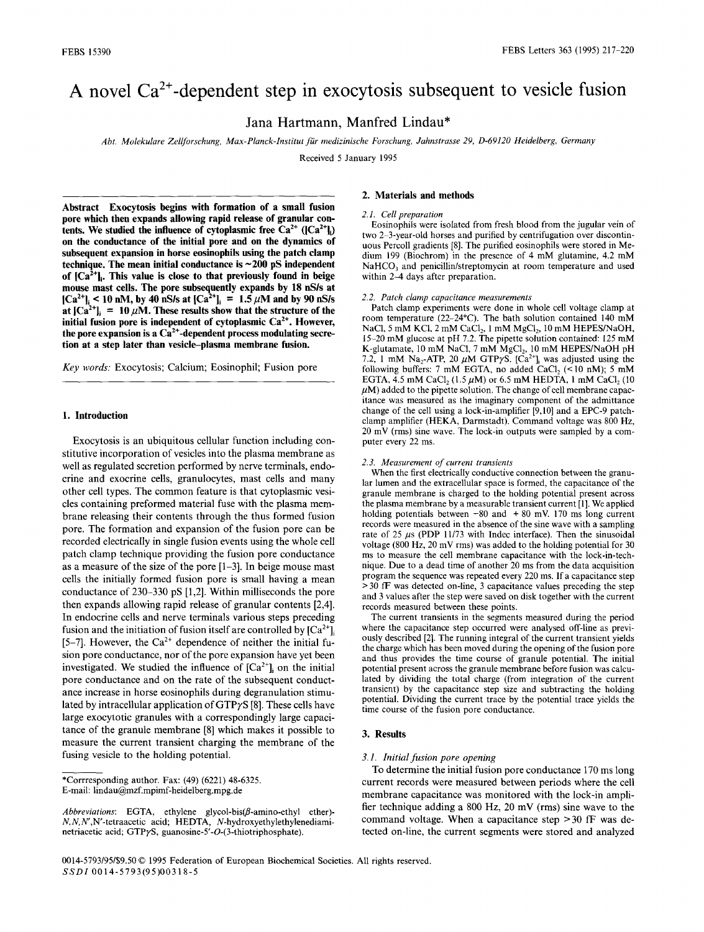# **A novel Ca2+-dependent step in exocytosis subsequent to vesicle fusion**

**Jana Hartmann, Manfred Lindau\*** 

*Abt. Molekulare ZellJbrsehung, Max-Planck-Institut fiir medizinische Forschung, Jahnstrasse 29, D-69120 Heidelberg, Germany* 

Received 5 January 1995

**Abstract Exocytosis begins with formation of a small fusion pore which then expands allowing rapid release of granular con**tents. We studied the influence of cytoplasmic free  $Ca^{2+}$  ( $|Ca^{2+}|\$ ) **on the conductance of the initial pore and on the dynamics of subsequent expansion in horse eosinophils using the patch clamp technique. The mean initial conductance is ~200 pS independent**  of  $[Ca^{2+}]_i$ . This value is close to that previously found in beige **mouse mast cells. The pore subsequently expands by 18 nS/s at**   $|Ca^{2+}|_i \leq 10$  nM, by 40 nS/s at  $|Ca^{2+}|_i = 1.5 \ \mu M$  and by 90 nS/s at  $[Ca^{2+}]_i = 10 \mu M$ . These results show that the structure of the initial fusion pore is independent of cytoplasmic Ca<sup>2+</sup>. However, the pore expansion is a  $Ca<sup>2+</sup>$ -dependent process modulating secre**tion at a step later than vesicle-plasma membrane fusion.** 

*Key words:* Exocytosis; Calcium; Eosinophil; Fusion pore

# **1. Introduction**

Exocytosis is an ubiquitous cellular function including constitutive incorporation of vesicles into the plasma membrane as well as regulated secretion performed by nerve terminals, endocrine and exocrine cells, granulocytes, mast cells and many other cell types. The common feature is that cytoplasmic vesicles containing preformed material fuse with the plasma membrane releasing their contents through the thus formed fusion pore. The formation and expansion of the fusion pore can be recorded electrically in single fusion events using the whole cell patch clamp technique providing the fusion pore conductance as a measure of the size of the pore [1-3]. In beige mouse mast cells the initially formed fusion pore is small having a mean conductance of 230-330 pS [1,2]. Within milliseconds the pore then expands allowing rapid release of granular contents [2,4]. In endocrine cells and nerve terminals various steps preceding fusion and the initiation of fusion itself are controlled by  $[Ca^{2+}]$ <sub>i</sub> [5-7]. However, the  $Ca^{2+}$  dependence of neither the initial fusion pore conductance, nor of the pore expansion have yet been investigated. We studied the influence of  $[Ca<sup>2+</sup>]$  on the initial pore conductance and on the rate of the subsequent conductance increase in horse eosinophils during degranulation stimulated by intracellular application of  $GTP\gamma S$  [8]. These cells have large exocytotic granules with a correspondingly large capacitance of the granule membrane [8] which makes it possible to measure the current transient charging the membrane of the fusing vesicle to the holding potential.

# **2. Materials and methods**

#### *2.1. Cell preparation*

Eosinophils were isolated from fresh blood from the jugular vein of two 2-3-year-old horses and purified by centrifugation over discontinuous Percoll gradients [8]. The purified eosinophils were stored in Medium 199 (Biochrom) in the presence of 4 mM glutamine, 4.2 mM NaHCO<sub>3</sub> and penicillin/streptomycin at room temperature and used within 2-4 days after preparation.

#### *2.2. Patch clamp capacitance measurements*

Patch clamp experiments were done in whole cell voltage clamp at room temperature (22-24°C). The bath solution contained 140 mM NaCl, 5 mM KCl, 2 mM CaCl<sub>2</sub>, 1 mM MgCl<sub>2</sub>, 10 mM HEPES/NaOH, 15-20 mM glucose at pH 7.2. The pipette solution contained: 125 mM K-glutamate, 10 mM NaCl, 7 mM  $MgCl<sub>2</sub>$ , 10 mM HEPES/NaOH pH 7.2, 1 mM Na<sub>2</sub>-ATP, 20  $\mu$ M GTP $\gamma$ S. [Ca<sup>2+</sup>]<sub>i</sub> was adjusted using the following buffers: 7 mM EGTA, no added CaCl<sub>2</sub> (<10 nM); 5 mM EGTA, 4.5 mM CaCl<sub>2</sub> (1.5  $\mu$ M) or 6.5 mM HEDTA, 1 mM CaCl<sub>2</sub> (10)  $\mu$ M) added to the pipette solution. The change of cell membrane capacitance was measured as the imaginary component of the admittance change of the cell using a lock-in-amplifier [9,10] and a EPC-9 patchclamp amplifier (HEKA, Darmstadt). Command voltage was 800 Hz, 20 mV (rms) sine wave. The lock-in outputs were sampled by a computer every 22 ms.

#### *2.3. Measurement of current transients*

When the first electrically conductive connection between the granular lumen and the extracellular space is formed, the capacitance of the granule membrane is charged to the holding potential present across the plasma membrane by a measurable transient current [1]. We applied holding potentials between  $-80$  and  $+80$  mV. 170 ms long current records were measured in the absence of the sine wave with a sampling rate of 25  $\mu$ s (PDP 11/73 with Indec interface). Then the sinusoidal voltage (800 Hz, 20 mV rms) was added to the holding potential for 30 ms to measure the cell membrane capacitance with the lock-in-technique. Due to a dead time of another 20 ms from the data acquisition program the sequence was repeated every 220 ms. If a capacitance step > 30 fF was detected on-line, 3 capacitance values preceding the step and 3 values after the step were saved on disk together with the current records measured between these points.

The current transients in the segments measured during the period where the capacitance step occurred were analysed off-line as previously described [2]. The running integral of the current transient yields the charge which has been moved during the opening of the fusion pore and thus provides the time course of granule potential. The initial potential present across the granule membrane before fusion was calculated by dividing the total charge (from integration of the current transient) by the capacitance step size and subtracting the holding potential. Dividing the current trace by the potential trace yields the time course of the fusion pore conductance.

# **3. Results**

#### *3.1. Initial fusion pore opening*

To determine the initial fusion pore conductance 170 ms long current records were measured between periods where the cell membrane capacitance was monitored with the lock-in amplifier technique adding a 800 Hz, 20 mV (rms) sine wave to the command voltage. When a capacitance step > 30 fF was detected on-line, the current segments were stored and analyzed

<sup>\*</sup>Corrresponding author. Fax: (49) (6221) 48-6325. E-mail: lindau@mzf.mpimf-heidelberg.mpg.de

Abbreviations: EGTA, ethylene glycol-bis( $\beta$ -amino-ethyl ether)-*N,N,N',N'-tetraacetic* acid; HEDTA, N-hydroxyethylethylenediaminetriacetic acid; GTP $\gamma$ S, guanosine-5'-O-(3-thiotriphosphate).

<sup>0014-5793/95</sup>l\$9.50 © 1995 Federation of European Biochemical Societies. All rights reserved. *SSDI* 0014-5793(95)00318-5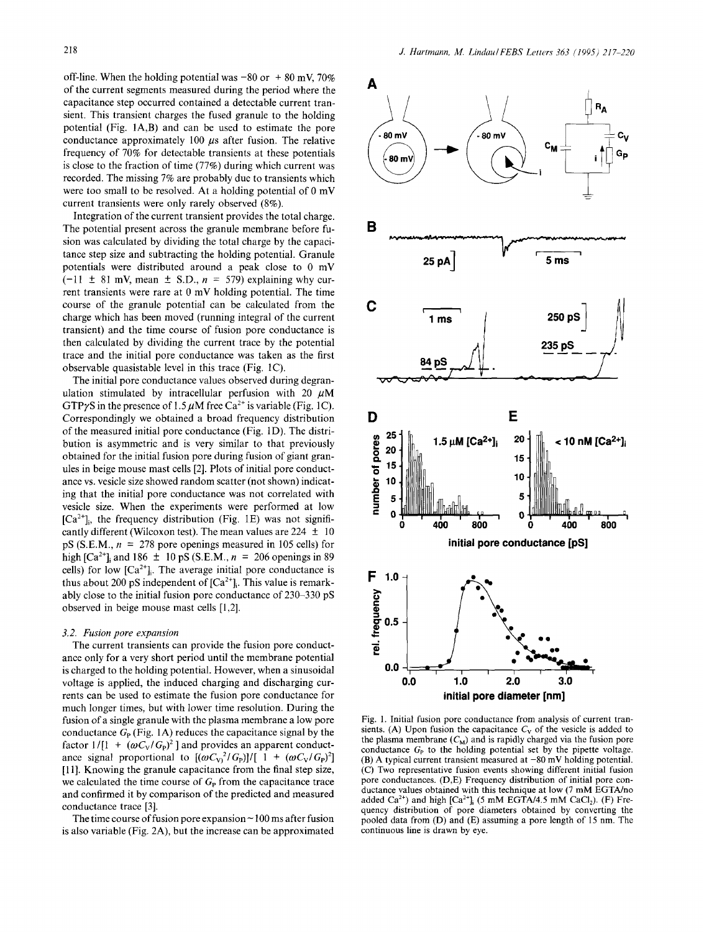off-line. When the holding potential was  $-80$  or  $+ 80$  mV, 70% of the current segments measured during the period where the capacitance step occurred contained a detectable current transient. This transient charges the fused granule to the holding potential (Fig. 1A,B) and can be used to estimate the pore conductance approximately  $100~\mu s$  after fusion. The relative frequency of 70% for detectable transients at these potentials is close to the fraction of time (77%) during which current was recorded. The missing 7% are probably due to transients which were too small to be resolved. At a holding potential of 0 mV current transients were only rarely observed (8%).

Integration of the current transient provides the total charge. The potential present across the granule membrane before fusion was calculated by dividing the total charge by the capacitance step size and subtracting the holding potential. Granule potentials were distributed around a peak close to 0 mV  $(-11 \pm 81 \text{ mV}$ , mean  $\pm$  S.D.,  $n = 579$ ) explaining why current transients were rare at 0 mV holding potential. The time course of the granule potential can be calculated from the charge which has been moved (running integral of the current transient) and the time course of fusion pore conductance is then calculated by dividing the current trace by the potential trace and the initial pore conductance was taken as the first observable quasistable level in this trace (Fig. 1C).

The initial pore conductance values observed during degranulation stimulated by intracellular perfusion with 20  $\mu$ M GTP $\gamma$ S in the presence of 1.5  $\mu$ M free Ca<sup>2+</sup> is variable (Fig. 1C). Correspondingly we obtained a broad frequency distribution of the measured initial pore conductance (Fig. 1D). The distribution is asymmetric and is very similar to that previously obtained for the initial fusion pore during fusion of giant granules in beige mouse mast cells [2]. Plots of initial pore conductance vs. vesicle size showed random scatter (not shown) indicating that the initial pore conductance was not correlated with vesicle size. When the experiments were performed at low  $[Ca^{2+}]$ <sub>i</sub>, the frequency distribution (Fig. 1E) was not significantly different (Wilcoxon test). The mean values are  $224 \pm 10$ pS (S.E.M.,  $n = 278$  pore openings measured in 105 cells) for high  $[Ca^{2+}]$ ; and  $186 \pm 10$  pS (S.E.M.,  $n = 206$  openings in 89 cells) for low  $[Ca^{2+}]_i$ . The average initial pore conductance is thus about 200 pS independent of  $[Ca^{2+}]$ . This value is remarkably close to the initial fusion pore conductance of 230-330 pS observed in beige mouse mast cells [1,2].

## *3.2. Fusion pore expansion*

The current transients can provide the fusion pore conductance only for a very short period until the membrane potential is charged to the holding potential. However, when a sinusoidal voltage is applied, the induced charging and discharging currents can be used to estimate the fusion pore conductance for much longer times, but with lower time resolution. During the fusion of a single granule with the plasma membrane a low pore conductance  $G_{\rm P}$  (Fig. 1A) reduces the capacitance signal by the factor  $1/[1 + (\omega C_V/G_p)^2]$  and provides an apparent conductance signal proportional to  $[(\omega C_V)^2/G_P]/[1 + (\omega C_V/G_P)^2]$ [11]. Knowing the granule capacitance from the final step size, we calculated the time course of  $G<sub>P</sub>$  from the capacitance trace and confirmed it by comparison of the predicted and measured conductance trace [3].

The time course of fusion pore expansion  $\sim$  100 ms after fusion is also variable (Fig. 2A), but the increase can be approximated



Fig. 1. Initial fusion pore conductance from analysis of current transients. (A) Upon fusion the capacitance  $C_V$  of the vesicle is added to the plasma membrane  $(C_M)$  and is rapidly charged via the fusion pore conductance  $G_P$  to the holding potential set by the pipette voltage. (B) A typical current transient measured at  $-80$  mV holding potential. (C) Two representative fusion events showing different initial fusion pore conductances. (D,E) Frequency distribution of initial pore conductance values obtained with this technique at low (7 mM EGTA/no added  $Ca<sup>2+</sup>$ ) and high  $[Ca<sup>2+</sup>]$ <sub>i</sub> (5 mM EGTA/4.5 mM CaCl<sub>2</sub>). (F) Frequency distribution of pore diameters obtained by converting the pooled data from (D) and (E) assuming a pore length of 15 nm. The continuous line is drawn by eye.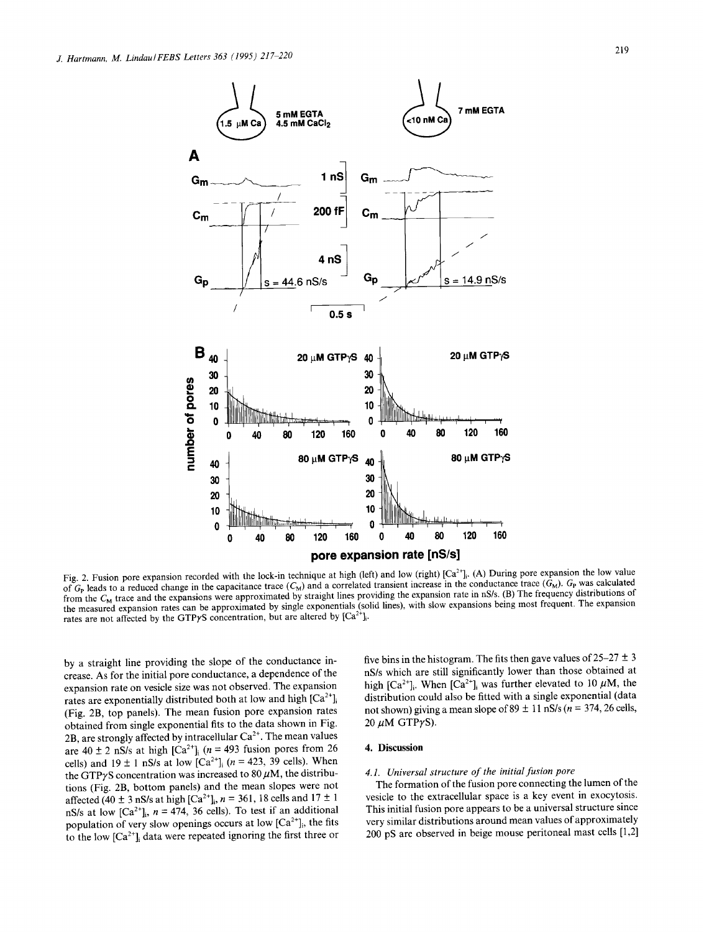

Fig. 2. Fusion pore expansion recorded with the lock-in technique at high (left) and low (right)  $[Ca^{2+}]_i$ . (A) During pore expansion the low value of  $G_P$  leads to a reduced change in the capacitance trace  $(C_M)$  and a correlated transient increase in the conductance trace  $(G_M)$ .  $G_P$  was calculated from the  $C_M$  trace and the expansions were approximated by straight lines providing the expansion rate in nS/s. (B) The frequency distributions of the measured expansion rates can be approximated by single exponentials (solid lines), with slow expansions being most frequent. The expansion rates are not affected by the GTP $\gamma$ S concentration, but are altered by [Ca<sup>2+</sup>].

by a straight line providing the slope of the conductance increase. As for the initial pore conductance, a dependence of the expansion rate on vesicle size was not observed. The expansion rates are exponentially distributed both at low and high  $[Ca^{2+}]_{;}$ (Fig. 2B, top panels). The mean fusion pore expansion rates obtained from single exponential fits to the data shown in Fig. 2B, are strongly affected by intracellular  $Ca^{2+}$ . The mean values are  $40 \pm 2$  nS/s at high [Ca<sup>2+</sup>]<sub>i</sub> (n = 493 fusion pores from 26 cells) and  $19 \pm 1$  nS/s at low [Ca<sup>2+</sup>]<sub>i</sub> (n = 423, 39 cells). When the GTP $\gamma$ S concentration was increased to 80  $\mu$ M, the distributions (Fig. 2B, bottom panels) and the mean slopes were not affected (40  $\pm$  3 nS/s at high [Ca<sup>2+</sup>]<sub>i</sub>, n = 361, 18 cells and 17  $\pm$  1 nS/s at low  $[Ca^{2+}]_{;}$ ,  $n = 474$ , 36 cells). To test if an additional population of very slow openings occurs at low  $[Ca^{2+}]_i$ , the fits to the low  $[Ca^{2+}]_i$  data were repeated ignoring the first three or

five bins in the histogram. The fits then gave values of  $25-27 \pm 3$ nS/s which are still significantly lower than those obtained at high  $[Ca^{2+}]_i$ . When  $[Ca^{2+}]_i$  was further elevated to 10  $\mu$ M, the distribution could also be fitted with a single exponential (data not shown) giving a mean slope of  $89 \pm 11$  nS/s ( $n = 374$ , 26 cells, 20  $\mu$ M GTP $\gamma$ S).

# **4. Discussion**

# *4.1. Universal structure of the initial fusion pore*

The formation of the fusion pore connecting the lumen of the vesicle to the extracellular space is a key event in exocytosis. This initial fusion pore appears to be a universal structure since very similar distributions around mean values of approximately 200 pS are observed in beige mouse peritoneal mast cells [1,2]